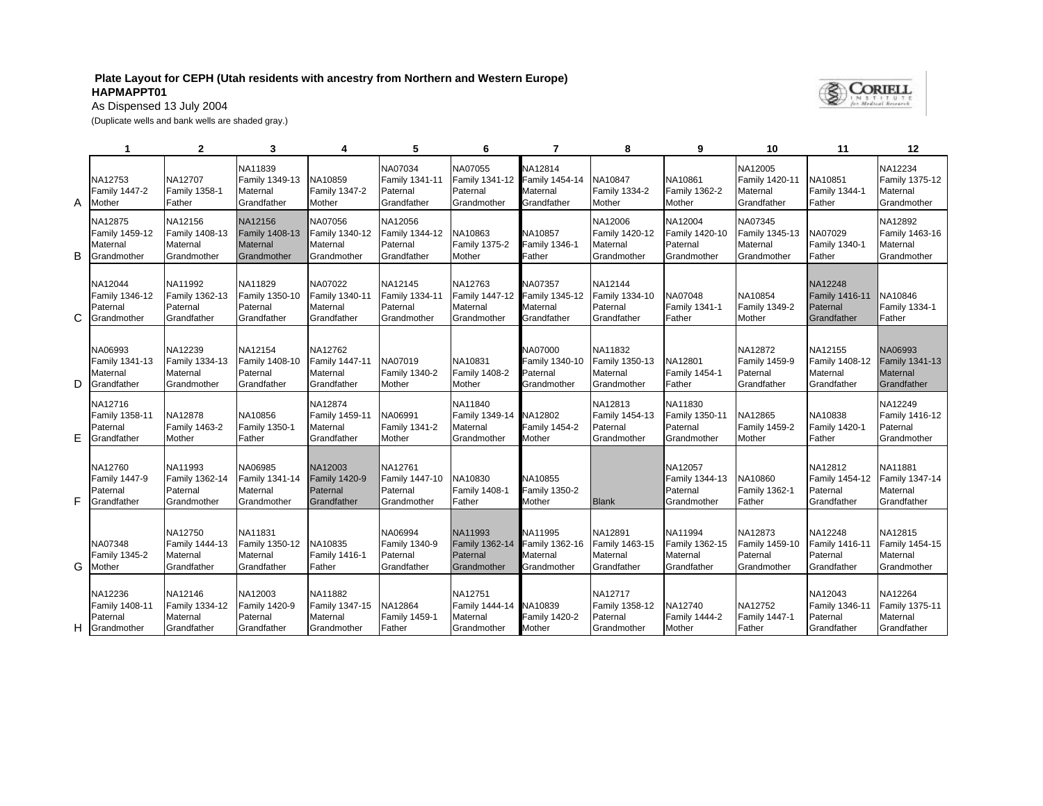## **Plate Layout for CEPH (Utah residents with ancestry from Northern and Western Europe) HAPMAPPT01**



As Dispensed 13 July 2004

(Duplicate wells and bank wells are shaded gray.)

|   | 1                                                    | $\mathbf{2}$                                         | 3                                                           |                                                      | 5                                                    | 6                                                    | 7                                                    | 8                                                    | 9                                                    | 10                                                         | 11                                                          | 12                                                          |
|---|------------------------------------------------------|------------------------------------------------------|-------------------------------------------------------------|------------------------------------------------------|------------------------------------------------------|------------------------------------------------------|------------------------------------------------------|------------------------------------------------------|------------------------------------------------------|------------------------------------------------------------|-------------------------------------------------------------|-------------------------------------------------------------|
| A | NA12753<br>Family 1447-2<br>Mother                   | NA12707<br><b>Family 1358-1</b><br>Father            | NA11839<br>Family 1349-13<br>Maternal<br>Grandfather        | NA10859<br>Family 1347-2<br>Mother                   | NA07034<br>Family 1341-11<br>Paternal<br>Grandfather | NA07055<br>Family 1341-12<br>Paternal<br>Grandmother | NA12814<br>Family 1454-14<br>Maternal<br>Grandfather | NA10847<br><b>Family 1334-2</b><br>Mother            | NA10861<br>Family 1362-2<br>Mother                   | NA12005<br>Family 1420-11<br>Maternal<br>Grandfather       | NA10851<br><b>Family 1344-1</b><br>Father                   | NA12234<br>Family 1375-12<br>Maternal<br>Grandmother        |
| B | NA12875<br>Family 1459-12<br>Maternal<br>Grandmother | NA12156<br>Family 1408-13<br>Maternal<br>Grandmother | NA12156<br>Family 1408-13<br><b>Maternal</b><br>Grandmother | NA07056<br>Family 1340-12<br>Maternal<br>Grandmother | NA12056<br>Family 1344-12<br>Paternal<br>Grandfather | NA10863<br><b>Family 1375-2</b><br>Mother            | NA10857<br><b>Family 1346-1</b><br>Father            | NA12006<br>Family 1420-12<br>Maternal<br>Grandmother | NA12004<br>Family 1420-10<br>Paternal<br>Grandmother | NA07345<br>Family 1345-13<br>Maternal<br>Grandmother       | NA07029<br><b>Family 1340-1</b><br>Father                   | NA12892<br>Family 1463-16<br>Maternal<br>Grandmother        |
| C | NA12044<br>Family 1346-12<br>Paternal<br>Grandmother | NA11992<br>Family 1362-13<br>Paternal<br>Grandfather | NA11829<br>Family 1350-10<br>Paternal<br>Grandfather        | NA07022<br>Family 1340-11<br>Maternal<br>Grandfather | NA12145<br>Family 1334-11<br>Paternal<br>Grandmother | NA12763<br>Family 1447-12<br>Maternal<br>Grandmother | NA07357<br>Family 1345-12<br>Maternal<br>Grandfather | NA12144<br>Family 1334-10<br>Paternal<br>Grandfather | NA07048<br>Family 1341-1<br>Father                   | NA10854<br><b>Family 1349-2</b><br>Mother                  | NA12248<br><b>Family 1416-11</b><br>Paternal<br>Grandfather | <b>NA10846</b><br>Family 1334-1<br>Father                   |
| D | NA06993<br>Family 1341-13<br>Maternal<br>Grandfather | NA12239<br>Family 1334-13<br>Maternal<br>Grandmother | NA12154<br>Family 1408-10<br>Paternal<br>Grandfather        | NA12762<br>Family 1447-11<br>Maternal<br>Grandfather | NA07019<br>Family 1340-2<br>Mother                   | NA10831<br><b>Family 1408-2</b><br>Mother            | NA07000<br>Family 1340-10<br>Paternal<br>Grandmother | NA11832<br>Family 1350-13<br>Maternal<br>Grandmother | NA12801<br>Family 1454-1<br>Father                   | NA12872<br><b>Family 1459-9</b><br>Paternal<br>Grandfather | NA12155<br>Family 1408-12<br>Maternal<br>Grandfather        | NA06993<br><b>Family 1341-13</b><br>Maternal<br>Grandfather |
| Ε | NA12716<br>Family 1358-11<br>Paternal<br>Grandfather | NA12878<br><b>Family 1463-2</b><br>Mother            | NA10856<br>Family 1350-1<br>Father                          | NA12874<br>Family 1459-11<br>Maternal<br>Grandfather | NA06991<br>Family 1341-2<br>Mother                   | NA11840<br>Family 1349-14<br>Maternal<br>Grandmother | NA12802<br><b>Family 1454-2</b><br>Mother            | NA12813<br>Family 1454-13<br>Paternal<br>Grandmother | NA11830<br>Family 1350-11<br>Paternal<br>Grandmother | NA12865<br><b>Family 1459-2</b><br>Mother                  | NA10838<br><b>Family 1420-1</b><br>Father                   | NA12249<br>Family 1416-12<br>Paternal<br>Grandmother        |
| F | NA12760<br>Family 1447-9<br>Paternal<br>Grandfather  | NA11993<br>Family 1362-14<br>Paternal<br>Grandmother | NA06985<br>Family 1341-14<br>Maternal<br>Grandmother        | NA12003<br>Family 1420-9<br>Paternal<br>Grandfather  | NA12761<br>Family 1447-10<br>Paternal<br>Grandmother | NA10830<br>Family 1408-1<br>Father                   | NA10855<br><b>Family 1350-2</b><br>Mother            | <b>Blank</b>                                         | NA12057<br>Family 1344-13<br>Paternal<br>Grandmother | NA10860<br><b>Family 1362-1</b><br>Father                  | NA12812<br>Family 1454-12<br>Paternal<br>Grandfather        | NA11881<br>Family 1347-14<br>Maternal<br>Grandfather        |
| G | NA07348<br>Family 1345-2<br>Mother                   | NA12750<br>Family 1444-13<br>Maternal<br>Grandfather | NA11831<br>Family 1350-12<br>Maternal<br>Grandfather        | NA10835<br>Family 1416-1<br>Father                   | NA06994<br>Family 1340-9<br>Paternal<br>Grandfather  | NA11993<br>Family 1362-14<br>Paternal<br>Grandmother | NA11995<br>Family 1362-16<br>Maternal<br>Grandmother | NA12891<br>Family 1463-15<br>Maternal<br>Grandfather | NA11994<br>Family 1362-15<br>Maternal<br>Grandfather | NA12873<br>Family 1459-10<br>Paternal<br>Grandmother       | NA12248<br>Family 1416-11<br>Paternal<br>Grandfather        | NA12815<br>Family 1454-15<br>Maternal<br>Grandmother        |
| H | NA12236<br>Family 1408-11<br>Paternal<br>Grandmother | NA12146<br>Family 1334-12<br>Maternal<br>Grandfather | NA12003<br>Family 1420-9<br>Paternal<br>Grandfather         | NA11882<br>Family 1347-15<br>Maternal<br>Grandmother | NA12864<br>Family 1459-1<br>Father                   | NA12751<br>Family 1444-14<br>Maternal<br>Grandmother | NA10839<br><b>Family 1420-2</b><br><b>Mother</b>     | NA12717<br>Family 1358-12<br>Paternal<br>Grandmother | NA12740<br><b>Family 1444-2</b><br>Mother            | NA12752<br><b>Family 1447-1</b><br>Father                  | NA12043<br>Family 1346-11<br>Paternal<br>Grandfather        | NA12264<br>Family 1375-11<br>Maternal<br>Grandfather        |